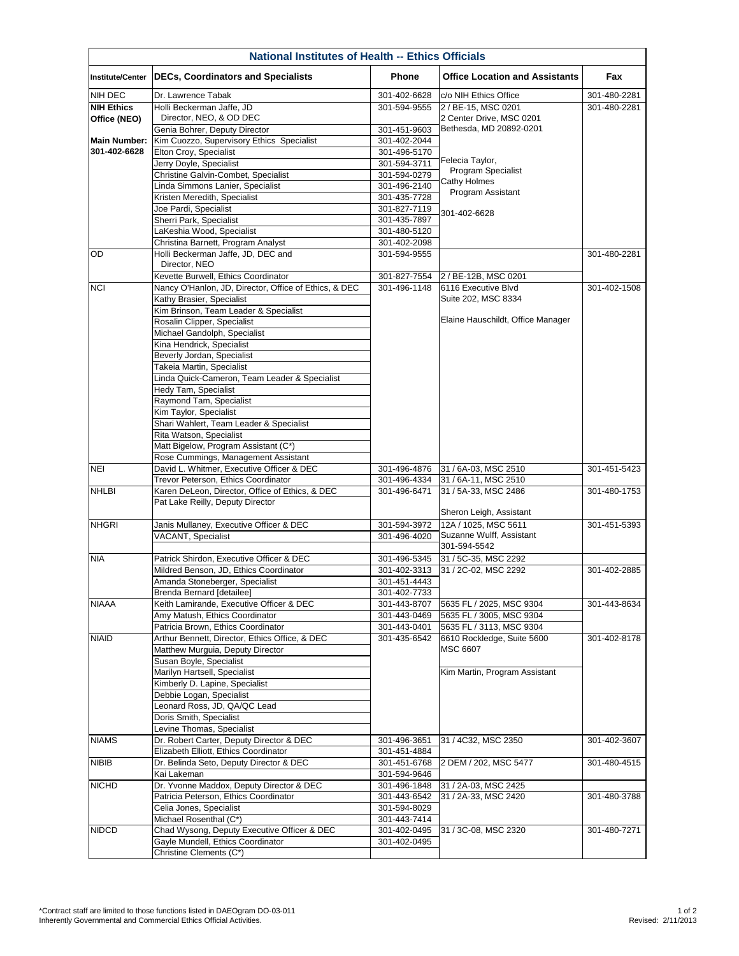\*Contract staff are limited to those functions listed in DAEOgram DO-03-011 Inherently Governmental and Commercial Ethics Official Activities.

| <b>National Institutes of Health -- Ethics Officials</b> |                                                                                      |                              |                                                        |              |  |  |  |
|----------------------------------------------------------|--------------------------------------------------------------------------------------|------------------------------|--------------------------------------------------------|--------------|--|--|--|
| <b>Institute/Center</b>                                  | <b>DECs, Coordinators and Specialists</b>                                            | <b>Phone</b>                 | <b>Office Location and Assistants</b>                  | Fax          |  |  |  |
| <b>NIH DEC</b>                                           | Dr. Lawrence Tabak                                                                   | 301-402-6628                 | c/o NIH Ethics Office                                  | 301-480-2281 |  |  |  |
| <b>NIH Ethics</b>                                        | Holli Beckerman Jaffe, JD                                                            | 301-594-9555                 | 2 / BE-15, MSC 0201                                    | 301-480-2281 |  |  |  |
| Office (NEO)<br><b>Main Number:</b>                      | Director, NEO, & OD DEC                                                              |                              | 2 Center Drive, MSC 0201<br>Bethesda, MD 20892-0201    |              |  |  |  |
|                                                          | Genia Bohrer, Deputy Director<br>Kim Cuozzo, Supervisory Ethics Specialist           | 301-451-9603<br>301-402-2044 |                                                        |              |  |  |  |
| 301-402-6628                                             | <b>Elton Croy, Specialist</b>                                                        | 301-496-5170                 |                                                        |              |  |  |  |
|                                                          | Jerry Doyle, Specialist                                                              | 301-594-3711                 | Felecia Taylor,                                        |              |  |  |  |
|                                                          | <b>Christine Galvin-Combet, Specialist</b>                                           | 301-594-0279                 | Program Specialist                                     |              |  |  |  |
|                                                          | Linda Simmons Lanier, Specialist                                                     | 301-496-2140                 | <b>Cathy Holmes</b>                                    |              |  |  |  |
|                                                          | Kristen Meredith, Specialist                                                         | 301-435-7728                 | Program Assistant                                      |              |  |  |  |
|                                                          | Joe Pardi, Specialist                                                                | 301-827-7119                 | 301-402-6628                                           |              |  |  |  |
|                                                          | Sherri Park, Specialist                                                              | 301-435-7897                 |                                                        |              |  |  |  |
|                                                          | LaKeshia Wood, Specialist                                                            | 301-480-5120                 |                                                        |              |  |  |  |
|                                                          | Christina Barnett, Program Analyst                                                   | 301-402-2098                 |                                                        |              |  |  |  |
| OD                                                       | Holli Beckerman Jaffe, JD, DEC and<br>Director, NEO                                  | 301-594-9555                 |                                                        | 301-480-2281 |  |  |  |
|                                                          | Kevette Burwell, Ethics Coordinator                                                  | 301-827-7554                 | 2 / BE-12B, MSC 0201                                   |              |  |  |  |
| <b>NCI</b>                                               | Nancy O'Hanlon, JD, Director, Office of Ethics, & DEC                                | 301-496-1148                 | 6116 Executive Blvd                                    | 301-402-1508 |  |  |  |
|                                                          | Kathy Brasier, Specialist<br>Kim Brinson, Team Leader & Specialist                   |                              | Suite 202, MSC 8334                                    |              |  |  |  |
|                                                          | Rosalin Clipper, Specialist                                                          |                              | Elaine Hauschildt, Office Manager                      |              |  |  |  |
|                                                          | Michael Gandolph, Specialist                                                         |                              |                                                        |              |  |  |  |
|                                                          | Kina Hendrick, Specialist                                                            |                              |                                                        |              |  |  |  |
|                                                          | Beverly Jordan, Specialist                                                           |                              |                                                        |              |  |  |  |
|                                                          | Takeia Martin, Specialist                                                            |                              |                                                        |              |  |  |  |
|                                                          | Linda Quick-Cameron, Team Leader & Specialist                                        |                              |                                                        |              |  |  |  |
|                                                          | Hedy Tam, Specialist                                                                 |                              |                                                        |              |  |  |  |
|                                                          | Raymond Tam, Specialist                                                              |                              |                                                        |              |  |  |  |
|                                                          | Kim Taylor, Specialist                                                               |                              |                                                        |              |  |  |  |
|                                                          | Shari Wahlert, Team Leader & Specialist                                              |                              |                                                        |              |  |  |  |
|                                                          | Rita Watson, Specialist                                                              |                              |                                                        |              |  |  |  |
|                                                          | Matt Bigelow, Program Assistant (C*)                                                 |                              |                                                        |              |  |  |  |
|                                                          | Rose Cummings, Management Assistant                                                  |                              |                                                        |              |  |  |  |
| <b>NEI</b>                                               | David L. Whitmer, Executive Officer & DEC<br>Trevor Peterson, Ethics Coordinator     | 301-496-4876<br>301-496-4334 | 31 / 6A-03, MSC 2510<br>31 / 6A-11, MSC 2510           | 301-451-5423 |  |  |  |
| <b>NHLBI</b>                                             | Karen DeLeon, Director, Office of Ethics, & DEC                                      | 301-496-6471                 | 31 / 5A-33, MSC 2486                                   | 301-480-1753 |  |  |  |
|                                                          | Pat Lake Reilly, Deputy Director                                                     |                              | Sheron Leigh, Assistant                                |              |  |  |  |
| <b>NHGRI</b>                                             | Janis Mullaney, Executive Officer & DEC                                              | 301-594-3972                 | 12A / 1025, MSC 5611                                   | 301-451-5393 |  |  |  |
|                                                          | <b>VACANT, Specialist</b>                                                            | 301-496-4020                 | Suzanne Wulff, Assistant                               |              |  |  |  |
|                                                          |                                                                                      |                              | 301-594-5542                                           |              |  |  |  |
| <b>NIA</b>                                               | Patrick Shirdon, Executive Officer & DEC                                             | 301-496-5345                 | 31 / 5C-35, MSC 2292                                   |              |  |  |  |
|                                                          | Mildred Benson, JD, Ethics Coordinator                                               | 301-402-3313                 | 31 / 2C-02, MSC 2292                                   | 301-402-2885 |  |  |  |
|                                                          | Amanda Stoneberger, Specialist                                                       | 301-451-4443                 |                                                        |              |  |  |  |
|                                                          | <b>Brenda Bernard [detailee]</b>                                                     | 301-402-7733                 |                                                        |              |  |  |  |
| <b>NIAAA</b>                                             | Keith Lamirande, Executive Officer & DEC                                             | 301-443-8707                 | 5635 FL / 2025, MSC 9304                               | 301-443-8634 |  |  |  |
|                                                          | Amy Matush, Ethics Coordinator                                                       | 301-443-0469                 | 5635 FL / 3005, MSC 9304                               |              |  |  |  |
| <b>NIAID</b>                                             | Patricia Brown, Ethics Coordinator<br>Arthur Bennett, Director, Ethics Office, & DEC | 301-443-0401<br>301-435-6542 | 5635 FL / 3113, MSC 9304<br>6610 Rockledge, Suite 5600 | 301-402-8178 |  |  |  |
|                                                          | Matthew Murguia, Deputy Director                                                     |                              | <b>MSC 6607</b>                                        |              |  |  |  |
|                                                          | Susan Boyle, Specialist                                                              |                              |                                                        |              |  |  |  |
|                                                          | Marilyn Hartsell, Specialist                                                         |                              | Kim Martin, Program Assistant                          |              |  |  |  |
|                                                          | Kimberly D. Lapine, Specialist                                                       |                              |                                                        |              |  |  |  |
|                                                          | Debbie Logan, Specialist                                                             |                              |                                                        |              |  |  |  |
|                                                          | Leonard Ross, JD, QA/QC Lead                                                         |                              |                                                        |              |  |  |  |
|                                                          | Doris Smith, Specialist                                                              |                              |                                                        |              |  |  |  |
|                                                          | Levine Thomas, Specialist                                                            |                              |                                                        |              |  |  |  |
| <b>NIAMS</b><br><b>NIBIB</b>                             | Dr. Robert Carter, Deputy Director & DEC                                             | 301-496-3651                 | 31 / 4C32, MSC 2350                                    | 301-402-3607 |  |  |  |
|                                                          | Elizabeth Elliott, Ethics Coordinator                                                | 301-451-4884                 |                                                        |              |  |  |  |
|                                                          | Dr. Belinda Seto, Deputy Director & DEC                                              | 301-451-6768                 | 2 DEM / 202, MSC 5477                                  | 301-480-4515 |  |  |  |
| <b>NICHD</b>                                             | Kai Lakeman                                                                          | 301-594-9646                 |                                                        |              |  |  |  |
|                                                          | Dr. Yvonne Maddox, Deputy Director & DEC<br>Patricia Peterson, Ethics Coordinator    | 301-496-1848<br>301-443-6542 | 31 / 2A-03, MSC 2425                                   |              |  |  |  |
|                                                          | Celia Jones, Specialist                                                              | 301-594-8029                 | 31 / 2A-33, MSC 2420                                   | 301-480-3788 |  |  |  |
|                                                          | Michael Rosenthal (C*)                                                               | 301-443-7414                 |                                                        |              |  |  |  |
| <b>NIDCD</b>                                             | Chad Wysong, Deputy Executive Officer & DEC                                          | 301-402-0495                 | 31 / 3C-08, MSC 2320                                   | 301-480-7271 |  |  |  |
|                                                          | Gayle Mundell, Ethics Coordinator                                                    | 301-402-0495                 |                                                        |              |  |  |  |
|                                                          | Christine Clements (C*)                                                              |                              |                                                        |              |  |  |  |